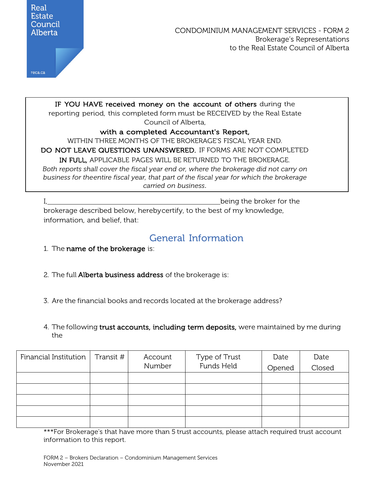

CONDOMINIUM MANAGEMENT SERVICES - FORM 2 Brokerage's Representations to the Real Estate Council of Alberta

IF YOU HAVE received money on the account of others during the reporting period, this completed form must be RECEIVED by the Real Estate Council of Alberta, with a completed Accountant's Report, WITHIN THREE MONTHS OF THE BROKERAGE'S FISCAL YEAR END.

DO NOT LEAVE QUESTIONS UNANSWERED. IF FORMS ARE NOT COMPLETED IN FULL, APPLICABLE PAGES WILL BE RETURNED TO THE BROKERAGE. *Both reports shall cover the fiscal year end or, where the brokerage did not carry on business for theentire fiscal year, that part of the fiscal year for which the brokerage carried on business.*

I, being the broker for the brokerage described below, herebycertify, to the best of my knowledge, information, and belief, that:

## General Information

- 1. The name of the brokerage is:
- 2. The full Alberta business address of the brokerage is:
- 3. Are the financial books and records located at the brokerage address?
- 4. The following trust accounts, including term deposits, were maintained by me during the

| Financial Institution   Transit $#$ | Account<br>Number | Type of Trust<br>Funds Held | Date<br>Opened | Date<br>Closed |
|-------------------------------------|-------------------|-----------------------------|----------------|----------------|
|                                     |                   |                             |                |                |
|                                     |                   |                             |                |                |
|                                     |                   |                             |                |                |
|                                     |                   |                             |                |                |
|                                     |                   |                             |                |                |

\*\*\*For Brokerage's that have more than 5 trust accounts, please attach required trust account information to this report.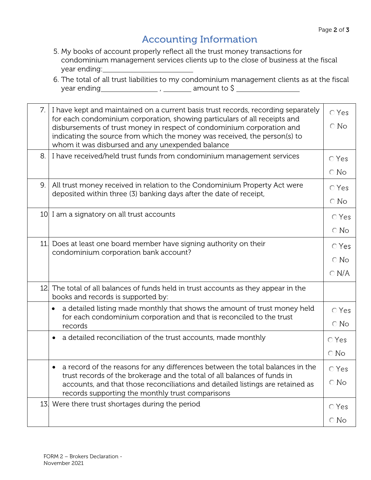## Accounting Information

- 5. My books of account properly reflect all the trust money transactions for condominium management services clients up to the close of business at the fiscal year ending:
- 6. The total of all trust liabilities to my condominium management clients as at the fiscal  $year$  ending  $\frac{1}{\frac{1}{\frac{1}{\sqrt{1-\frac{1}{\sqrt{1-\frac{1}{\sqrt{1-\frac{1}{\sqrt{1-\frac{1}{\sqrt{1-\frac{1}{\sqrt{1-\frac{1}{\sqrt{1-\frac{1}{\sqrt{1-\frac{1}{\sqrt{1-\frac{1}{\sqrt{1-\frac{1}{\sqrt{1-\frac{1}{\sqrt{1-\frac{1}{\sqrt{1-\frac{1}{\sqrt{1-\frac{1}{\sqrt{1-\frac{1}{\sqrt{1-\frac{1}{\sqrt{1-\frac{1}{\sqrt{1-\frac{1}{\sqrt{1-\frac{1}{\sqrt{1-\frac{1}{\sqrt{1-\frac{1}{\sqrt{1-\$

| 7.  | I have kept and maintained on a current basis trust records, recording separately<br>for each condominium corporation, showing particulars of all receipts and<br>disbursements of trust money in respect of condominium corporation and<br>indicating the source from which the money was received, the person(s) to<br>whom it was disbursed and any unexpended balance | $\bigcirc$ Yes<br>$\bigcirc$ No                   |
|-----|---------------------------------------------------------------------------------------------------------------------------------------------------------------------------------------------------------------------------------------------------------------------------------------------------------------------------------------------------------------------------|---------------------------------------------------|
| 8.  | I have received/held trust funds from condominium management services                                                                                                                                                                                                                                                                                                     | $\bigcirc$ Yes<br>$\bigcirc$ No                   |
| 9.  | All trust money received in relation to the Condominium Property Act were<br>deposited within three (3) banking days after the date of receipt,                                                                                                                                                                                                                           | $\bigcirc$ Yes<br>$\bigcirc$ No                   |
|     | 10 I am a signatory on all trust accounts                                                                                                                                                                                                                                                                                                                                 | $\bigcirc$ Yes<br>$\bigcirc$ No                   |
| 11. | Does at least one board member have signing authority on their<br>condominium corporation bank account?                                                                                                                                                                                                                                                                   | $\bigcirc$ Yes<br>$\bigcirc$ No<br>$\bigcirc$ N/A |
| 12. | The total of all balances of funds held in trust accounts as they appear in the<br>books and records is supported by:                                                                                                                                                                                                                                                     |                                                   |
|     | a detailed listing made monthly that shows the amount of trust money held<br>$\bullet$<br>for each condominium corporation and that is reconciled to the trust<br>records                                                                                                                                                                                                 | $\bigcirc$ Yes<br>$\bigcirc$ No                   |
|     | a detailed reconciliation of the trust accounts, made monthly                                                                                                                                                                                                                                                                                                             | $\bigcirc$ Yes<br>$\bigcirc$ No                   |
|     | a record of the reasons for any differences between the total balances in the<br>trust records of the brokerage and the total of all balances of funds in<br>accounts, and that those reconciliations and detailed listings are retained as<br>records supporting the monthly trust comparisons                                                                           | $\bigcirc$ Yes<br>$\bigcirc$ No                   |
|     | 13. Were there trust shortages during the period                                                                                                                                                                                                                                                                                                                          | $\bigcirc$ Yes<br>$\bigcirc$ No                   |